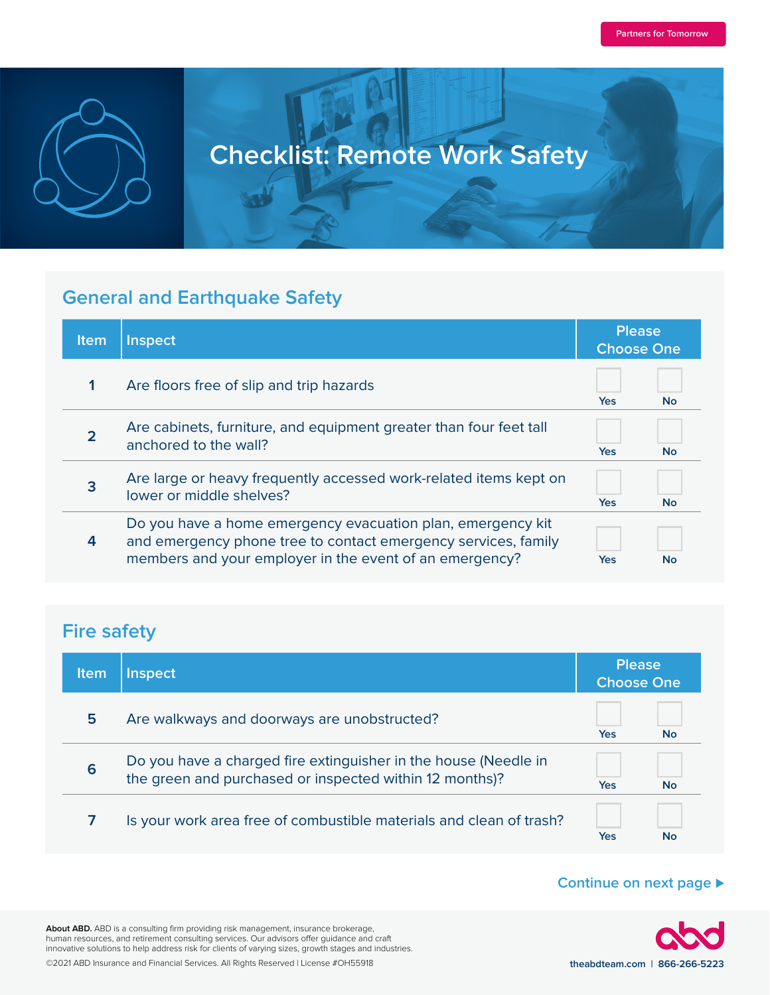

# **Checklist: Remote Work Safety**

#### **General and Earthquake Safety**

| Item        | <b>Inspect</b>                                                                                                                                                                           | <b>Please</b><br><b>Choose One</b> |           |
|-------------|------------------------------------------------------------------------------------------------------------------------------------------------------------------------------------------|------------------------------------|-----------|
| $\mathbf 1$ | Are floors free of slip and trip hazards                                                                                                                                                 | Yes                                | <b>No</b> |
|             | Are cabinets, furniture, and equipment greater than four feet tall<br>anchored to the wall?                                                                                              | <b>Yes</b>                         | <b>No</b> |
|             | Are large or heavy frequently accessed work-related items kept on<br>lower or middle shelves?                                                                                            | <b>Yes</b>                         | <b>No</b> |
| 4           | Do you have a home emergency evacuation plan, emergency kit<br>and emergency phone tree to contact emergency services, family<br>members and your employer in the event of an emergency? | <b>Yes</b>                         | <b>No</b> |

#### **Fire safety**

| <b>Item</b> | <b>Inspect</b>                                                                                                             | <b>Please</b><br><b>Choose One</b> |    |
|-------------|----------------------------------------------------------------------------------------------------------------------------|------------------------------------|----|
| 5           | Are walkways and doorways are unobstructed?                                                                                | <b>Yes</b>                         | No |
| 6           | Do you have a charged fire extinguisher in the house (Needle in<br>the green and purchased or inspected within 12 months)? | Yes                                | No |
|             | Is your work area free of combustible materials and clean of trash?                                                        | Yes                                | No |

#### **Continue on next page ▶**



**About ABD.** ABD is a consulting firm providing risk management, insurance brokerage, human resources, and retirement consulting services. Our advisors offer guidance and craft innovative solutions to help address risk for clients of varying sizes, growth stages and industries.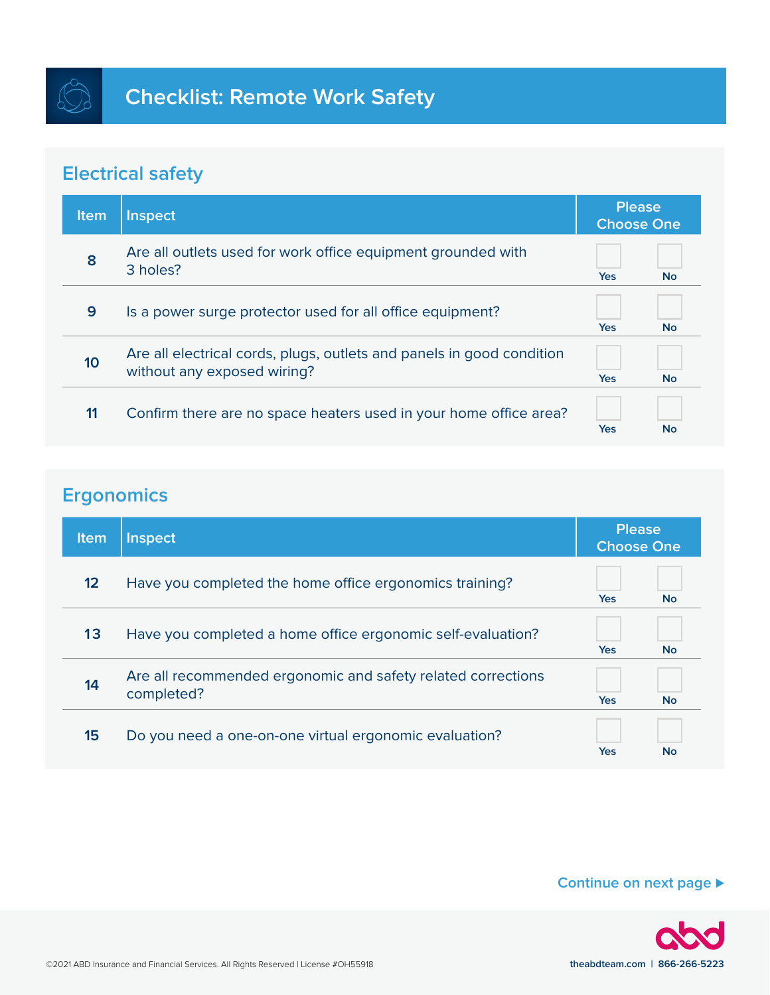

### **Electrical safety**

| <b>Item</b> | <b>Inspect</b>                                                                                       | <b>Please</b><br><b>Choose One</b> |           |
|-------------|------------------------------------------------------------------------------------------------------|------------------------------------|-----------|
| 8           | Are all outlets used for work office equipment grounded with<br>3 holes?                             | <b>Yes</b>                         | <b>No</b> |
| 9           | Is a power surge protector used for all office equipment?                                            | <b>Yes</b>                         | <b>No</b> |
| 10          | Are all electrical cords, plugs, outlets and panels in good condition<br>without any exposed wiring? | <b>Yes</b>                         | <b>No</b> |
| 11          | Confirm there are no space heaters used in your home office area?                                    | Yes                                | No        |

### **Ergonomics**

| <b>Item</b>     | <b>Inspect</b>                                                             | <b>Please</b><br><b>Choose One</b> |           |
|-----------------|----------------------------------------------------------------------------|------------------------------------|-----------|
| 12 <sup>2</sup> | Have you completed the home office ergonomics training?                    | <b>Yes</b>                         | <b>No</b> |
| 13              | Have you completed a home office ergonomic self-evaluation?                | <b>Yes</b>                         | <b>No</b> |
| 14              | Are all recommended ergonomic and safety related corrections<br>completed? | Yes                                | <b>No</b> |
| 15              | Do you need a one-on-one virtual ergonomic evaluation?                     | Yes                                | No        |

**Continue on next page ▶**